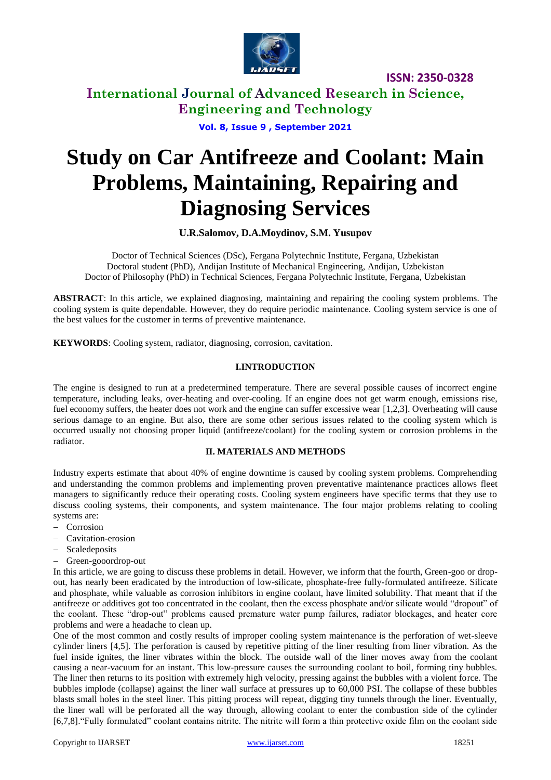

**International Journal of Advanced Research in Science, Engineering and Technology**

**Vol. 8, Issue 9 , September 2021**

# **Study on Car Antifreeze and Coolant: Main Problems, Maintaining, Repairing and Diagnosing Services**

**U.R.Salomov, D.A.Moydinov, S.M. Yusupov**

Doctor of Technical Sciences (DSc), Fergana Polytechnic Institute, Fergana, Uzbekistan Doctoral student (PhD), Andijan Institute of Mechanical Engineering, Andijan, Uzbekistan Doctor of Philosophy (PhD) in Technical Sciences, Fergana Polytechnic Institute, Fergana, Uzbekistan

**ABSTRACT**: In this article, we explained diagnosing, maintaining and repairing the cooling system problems. The cooling system is quite dependable. However, they do require periodic maintenance. Cooling system service is one of the best values for the customer in terms of preventive maintenance.

**KEYWORDS**: Cooling system, radiator, diagnosing, corrosion, cavitation.

#### **I.INTRODUCTION**

The engine is designed to run at a predetermined temperature. There are several possible causes of incorrect engine temperature, including leaks, over-heating and over-cooling. If an engine does not get warm enough, emissions rise, fuel economy suffers, the heater does not work and the engine can suffer excessive wear [1,2,3]. Overheating will cause serious damage to an engine. But also, there are some other serious issues related to the cooling system which is occurred usually not choosing proper liquid (antifreeze/coolant) for the cooling system or corrosion problems in the radiator.

#### **II. MATERIALS AND METHODS**

Industry experts estimate that about 40% of engine downtime is caused by cooling system problems. Comprehending and understanding the common problems and implementing proven preventative maintenance practices allows fleet managers to significantly reduce their operating costs. Cooling system engineers have specific terms that they use to discuss cooling systems, their components, and system maintenance. The four major problems relating to cooling systems are:

- Corrosion
- Cavitation-erosion
- Scaledeposits
- Green-gooordrop-out

In this article, we are going to discuss these problems in detail. However, we inform that the fourth, Green-goo or dropout, has nearly been eradicated by the introduction of low-silicate, phosphate-free fully-formulated antifreeze. Silicate and phosphate, while valuable as corrosion inhibitors in engine coolant, have limited solubility. That meant that if the antifreeze or additives got too concentrated in the coolant, then the excess phosphate and/or silicate would "dropout" of the coolant. These "drop-out" problems caused premature water pump failures, radiator blockages, and heater core problems and were a headache to clean up.

One of the most common and costly results of improper cooling system maintenance is the perforation of wet-sleeve cylinder liners [4,5]. The perforation is caused by repetitive pitting of the liner resulting from liner vibration. As the fuel inside ignites, the liner vibrates within the block. The outside wall of the liner moves away from the coolant causing a near-vacuum for an instant. This low-pressure causes the surrounding coolant to boil, forming tiny bubbles. The liner then returns to its position with extremely high velocity, pressing against the bubbles with a violent force. The bubbles implode (collapse) against the liner wall surface at pressures up to 60,000 PSI. The collapse of these bubbles blasts small holes in the steel liner. This pitting process will repeat, digging tiny tunnels through the liner. Eventually, the liner wall will be perforated all the way through, allowing coolant to enter the combustion side of the cylinder [6,7,8]."Fully formulated" coolant contains nitrite. The nitrite will form a thin protective oxide film on the coolant side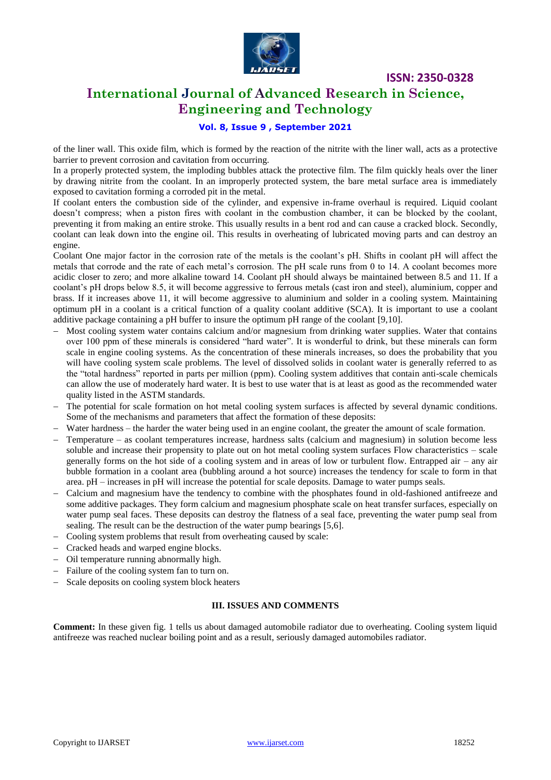

### **International Journal of Advanced Research in Science, Engineering and Technology**

#### **Vol. 8, Issue 9 , September 2021**

of the liner wall. This oxide film, which is formed by the reaction of the nitrite with the liner wall, acts as a protective barrier to prevent corrosion and cavitation from occurring.

In a properly protected system, the imploding bubbles attack the protective film. The film quickly heals over the liner by drawing nitrite from the coolant. In an improperly protected system, the bare metal surface area is immediately exposed to cavitation forming a corroded pit in the metal.

If coolant enters the combustion side of the cylinder, and expensive in-frame overhaul is required. Liquid coolant doesn't compress; when a piston fires with coolant in the combustion chamber, it can be blocked by the coolant, preventing it from making an entire stroke. This usually results in a bent rod and can cause a cracked block. Secondly, coolant can leak down into the engine oil. This results in overheating of lubricated moving parts and can destroy an engine.

Coolant One major factor in the corrosion rate of the metals is the coolant's pH. Shifts in coolant pH will affect the metals that corrode and the rate of each metal's corrosion. The pH scale runs from 0 to 14. A coolant becomes more acidic closer to zero; and more alkaline toward 14. Coolant pH should always be maintained between 8.5 and 11. If a coolant's pH drops below 8.5, it will become aggressive to ferrous metals (cast iron and steel), aluminium, copper and brass. If it increases above 11, it will become aggressive to aluminium and solder in a cooling system. Maintaining optimum pH in a coolant is a critical function of a quality coolant additive (SCA). It is important to use a coolant additive package containing a pH buffer to insure the optimum pH range of the coolant [9,10].

- Most cooling system water contains calcium and/or magnesium from drinking water supplies. Water that contains over 100 ppm of these minerals is considered "hard water". It is wonderful to drink, but these minerals can form scale in engine cooling systems. As the concentration of these minerals increases, so does the probability that you will have cooling system scale problems. The level of dissolved solids in coolant water is generally referred to as the "total hardness" reported in parts per million (ppm). Cooling system additives that contain anti-scale chemicals can allow the use of moderately hard water. It is best to use water that is at least as good as the recommended water quality listed in the ASTM standards.
- The potential for scale formation on hot metal cooling system surfaces is affected by several dynamic conditions. Some of the mechanisms and parameters that affect the formation of these deposits:
- Water hardness the harder the water being used in an engine coolant, the greater the amount of scale formation.
- Temperature as coolant temperatures increase, hardness salts (calcium and magnesium) in solution become less soluble and increase their propensity to plate out on hot metal cooling system surfaces Flow characteristics – scale generally forms on the hot side of a cooling system and in areas of low or turbulent flow. Entrapped air – any air bubble formation in a coolant area (bubbling around a hot source) increases the tendency for scale to form in that area. pH – increases in pH will increase the potential for scale deposits. Damage to water pumps seals.
- Calcium and magnesium have the tendency to combine with the phosphates found in old-fashioned antifreeze and some additive packages. They form calcium and magnesium phosphate scale on heat transfer surfaces, especially on water pump seal faces. These deposits can destroy the flatness of a seal face, preventing the water pump seal from sealing. The result can be the destruction of the water pump bearings [5,6].
- Cooling system problems that result from overheating caused by scale:
- Cracked heads and warped engine blocks.
- Oil temperature running abnormally high.
- Failure of the cooling system fan to turn on.
- Scale deposits on cooling system block heaters

#### **III. ISSUES AND COMMENTS**

**Comment:** In these given fig. 1 tells us about damaged automobile radiator due to overheating. Cooling system liquid antifreeze was reached nuclear boiling point and as a result, seriously damaged automobiles radiator.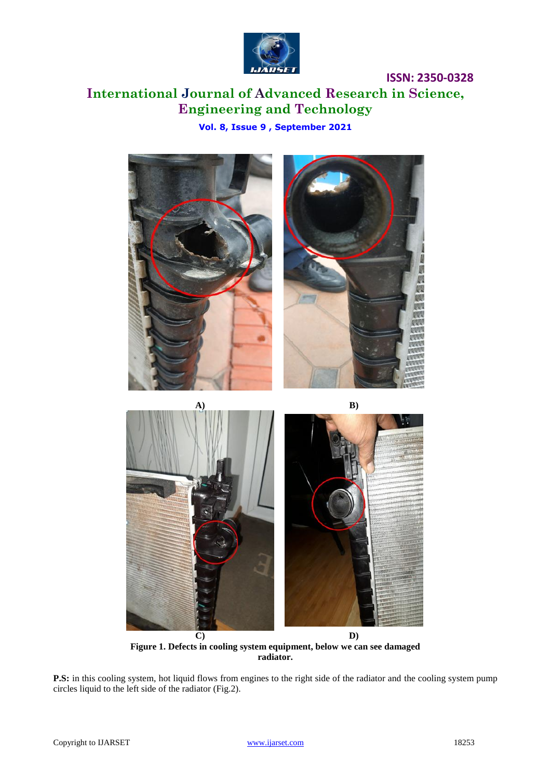

**International Journal of Advanced Research in Science, Engineering and Technology**

**Vol. 8, Issue 9 , September 2021**



**Figure 1. Defects in cooling system equipment, below we can see damaged radiator.**

**P.S:** in this cooling system, hot liquid flows from engines to the right side of the radiator and the cooling system pump circles liquid to the left side of the radiator (Fig.2).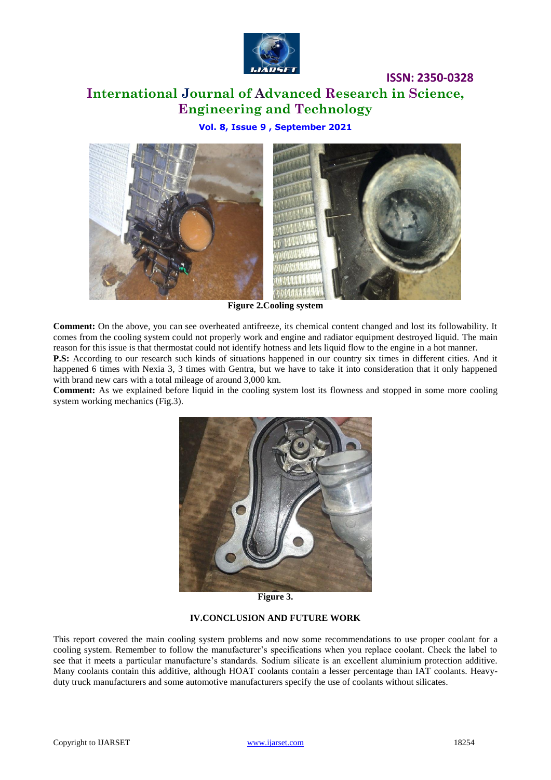

# **International Journal of Advanced Research in Science, Engineering and Technology**

**ISSN: 2350-0328**

**Vol. 8, Issue 9 , September 2021**



**Figure 2.Cooling system**

**Comment:** On the above, you can see overheated antifreeze, its chemical content changed and lost its followability. It comes from the cooling system could not properly work and engine and radiator equipment destroyed liquid. The main reason for this issue is that thermostat could not identify hotness and lets liquid flow to the engine in a hot manner.

**P.S:** According to our research such kinds of situations happened in our country six times in different cities. And it happened 6 times with Nexia 3, 3 times with Gentra, but we have to take it into consideration that it only happened with brand new cars with a total mileage of around 3,000 km.

**Comment:** As we explained before liquid in the cooling system lost its flowness and stopped in some more cooling system working mechanics (Fig.3).



**Figure 3.**

#### **IV.CONCLUSION AND FUTURE WORK**

This report covered the main cooling system problems and now some recommendations to use proper coolant for a cooling system. Remember to follow the manufacturer's specifications when you replace coolant. Check the label to see that it meets a particular manufacture's standards. Sodium silicate is an excellent aluminium protection additive. Many coolants contain this additive, although HOAT coolants contain a lesser percentage than IAT coolants. Heavyduty truck manufacturers and some automotive manufacturers specify the use of coolants without silicates.